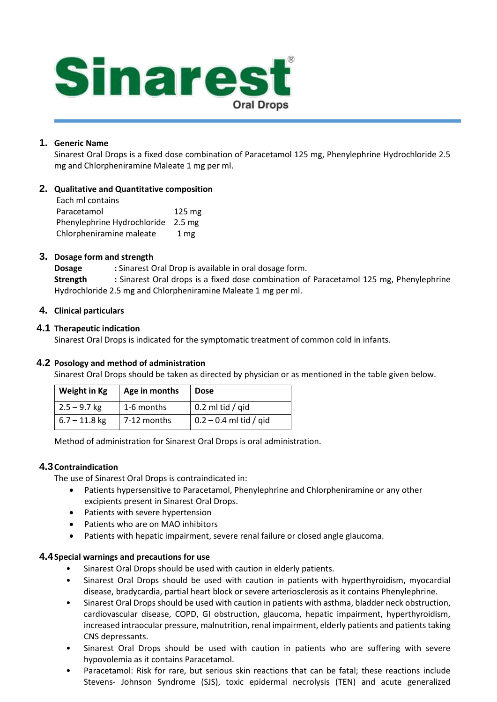

## **1. Generic Name**

Sinarest Oral Drops is a fixed dose combination of Paracetamol 125 mg, Phenylephrine Hydrochloride 2.5 mg and Chlorpheniramine Maleate 1 mg per ml.

### **2. Qualitative and Quantitative composition**

| Each ml contains            |                  |
|-----------------------------|------------------|
| Paracetamol                 | $125 \text{ mg}$ |
| Phenylephrine Hydrochloride | $2.5 \text{ mg}$ |
| Chlorpheniramine maleate    | 1 <sub>mg</sub>  |

### **3. Dosage form and strength**

**Dosage :** Sinarest Oral Drop is available in oral dosage form. **Strength :** Sinarest Oral drops is a fixed dose combination of Paracetamol 125 mg, Phenylephrine Hydrochloride 2.5 mg and Chlorpheniramine Maleate 1 mg per ml.

### **4. Clinical particulars**

### **4.1 Therapeutic indication**

Sinarest Oral Drops is indicated for the symptomatic treatment of common cold in infants.

## **4.2 Posology and method of administration**

Sinarest Oral Drops should be taken as directed by physician or as mentioned in the table given below.

| Weight in Kg    | Age in months | <b>Dose</b>              |
|-----------------|---------------|--------------------------|
| $2.5 - 9.7$ kg  | 1-6 months    | 0.2 ml tid / gid         |
| $6.7 - 11.8$ kg | 7-12 months   | $0.2 - 0.4$ ml tid / gid |

Method of administration for Sinarest Oral Drops is oral administration.

#### **4.3Contraindication**

The use of Sinarest Oral Drops is contraindicated in:

- Patients hypersensitive to Paracetamol, Phenylephrine and Chlorpheniramine or any other excipients present in Sinarest Oral Drops.
- Patients with severe hypertension
- Patients who are on MAO inhibitors
- Patients with hepatic impairment, severe renal failure or closed angle glaucoma.

#### **4.4Special warnings and precautions for use**

- Sinarest Oral Drops should be used with caution in elderly patients.
- Sinarest Oral Drops should be used with caution in patients with hyperthyroidism, myocardial disease, bradycardia, partial heart block or severe arteriosclerosis as it contains Phenylephrine.
- Sinarest Oral Drops should be used with caution in patients with asthma, bladder neck obstruction, cardiovascular disease, COPD, GI obstruction, glaucoma, hepatic impairment, hyperthyroidism, increased intraocular pressure, malnutrition, renal impairment, elderly patients and patients taking CNS depressants.
- Sinarest Oral Drops should be used with caution in patients who are suffering with severe hypovolemia as it contains Paracetamol.
- Paracetamol: Risk for rare, but serious skin reactions that can be fatal; these reactions include Stevens- Johnson Syndrome (SJS), toxic epidermal necrolysis (TEN) and acute generalized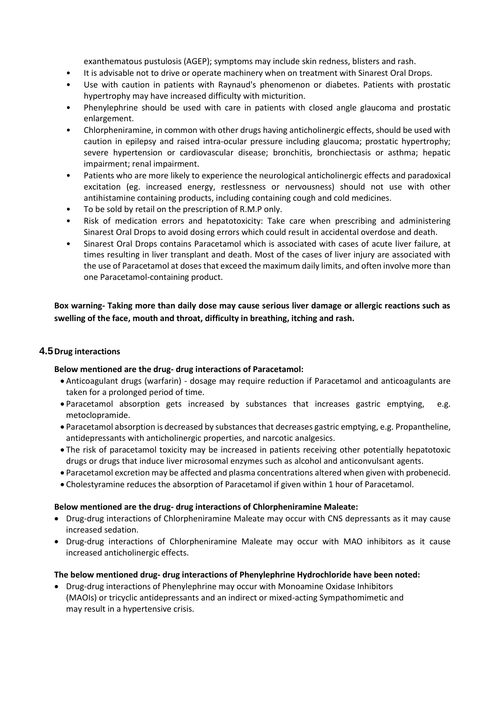exanthematous pustulosis (AGEP); symptoms may include skin redness, blisters and rash.

- It is advisable not to drive or operate machinery when on treatment with Sinarest Oral Drops.
- Use with caution in patients with Raynaud's phenomenon or diabetes. Patients with prostatic hypertrophy may have increased difficulty with micturition.
- Phenylephrine should be used with care in patients with closed angle glaucoma and prostatic enlargement.
- Chlorpheniramine, in common with other drugs having anticholinergic effects, should be used with caution in epilepsy and raised intra-ocular pressure including glaucoma; prostatic hypertrophy; severe hypertension or cardiovascular disease; bronchitis, bronchiectasis or asthma; hepatic impairment; renal impairment.
- Patients who are more likely to experience the neurological anticholinergic effects and paradoxical excitation (eg. increased energy, restlessness or nervousness) should not use with other antihistamine containing products, including containing cough and cold medicines.
- To be sold by retail on the prescription of R.M.P only.
- Risk of medication errors and hepatotoxicity: Take care when prescribing and administering Sinarest Oral Drops to avoid dosing errors which could result in accidental overdose and death.
- Sinarest Oral Drops contains Paracetamol which is associated with cases of acute liver failure, at times resulting in liver transplant and death. Most of the cases of liver injury are associated with the use of Paracetamol at doses that exceed the maximum daily limits, and often involve more than one Paracetamol-containing product.

**Box warning- Taking more than daily dose may cause serious liver damage or allergic reactions such as swelling of the face, mouth and throat, difficulty in breathing, itching and rash.**

## **4.5Drug interactions**

## **Below mentioned are the drug- drug interactions of Paracetamol:**

- Anticoagulant drugs (warfarin) dosage may require reduction if Paracetamol and anticoagulants are taken for a prolonged period of time.
- Paracetamol absorption gets increased by substances that increases gastric emptying, e.g. metoclopramide.
- Paracetamol absorption is decreased by substances that decreases gastric emptying, e.g. Propantheline, antidepressants with anticholinergic properties, and narcotic analgesics.
- The risk of paracetamol toxicity may be increased in patients receiving other potentially hepatotoxic drugs or drugs that induce liver microsomal enzymes such as alcohol and anticonvulsant agents.
- Paracetamol excretion may be affected and plasma concentrations altered when given with probenecid.
- Cholestyramine reduces the absorption of Paracetamol if given within 1 hour of Paracetamol.

#### **Below mentioned are the drug- drug interactions of Chlorpheniramine Maleate:**

- Drug-drug interactions of Chlorpheniramine Maleate may occur with CNS depressants as it may cause increased sedation.
- Drug-drug interactions of Chlorpheniramine Maleate may occur with MAO inhibitors as it cause increased anticholinergic effects.

#### **The below mentioned drug- drug interactions of Phenylephrine Hydrochloride have been noted:**

• Drug-drug interactions of Phenylephrine may occur with Monoamine Oxidase Inhibitors (MAOIs) or tricyclic antidepressants and an indirect or mixed-acting Sympathomimetic and may result in a hypertensive crisis.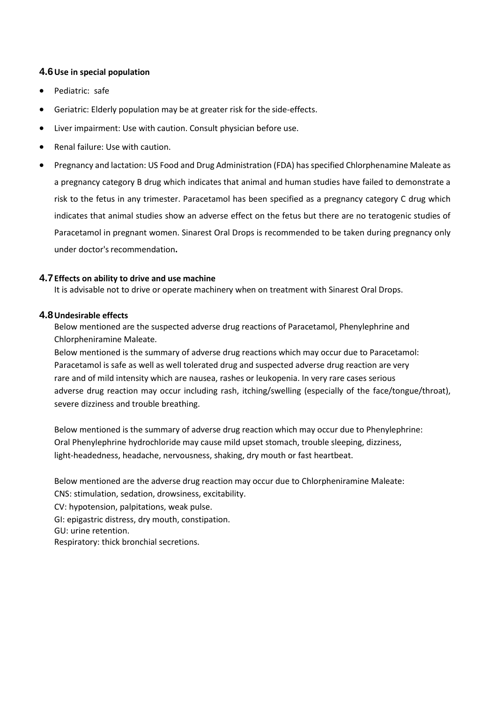### **4.6Use in special population**

- Pediatric: safe
- Geriatric: Elderly population may be at greater risk for the side-effects.
- Liver impairment: Use with caution. Consult physician before use.
- Renal failure: Use with caution.
- Pregnancy and lactation: US Food and Drug Administration (FDA) has specified Chlorphenamine Maleate as a pregnancy category B drug which indicates that animal and human studies have failed to demonstrate a risk to the fetus in any trimester. Paracetamol has been specified as a pregnancy category C drug which indicates that animal studies show an adverse effect on the fetus but there are no teratogenic studies of Paracetamol in pregnant women. Sinarest Oral Drops is recommended to be taken during pregnancy only under doctor's recommendation.

#### **4.7Effects on ability to drive and use machine**

It is advisable not to drive or operate machinery when on treatment with Sinarest Oral Drops.

#### **4.8Undesirable effects**

Below mentioned are the suspected adverse drug reactions of Paracetamol, Phenylephrine and Chlorpheniramine Maleate.

Below mentioned is the summary of adverse drug reactions which may occur due to Paracetamol: Paracetamol is safe as well as well tolerated drug and suspected adverse drug reaction are very rare and of mild intensity which are nausea, rashes or leukopenia. In very rare cases serious adverse drug reaction may occur including rash, itching/swelling (especially of the face/tongue/throat), severe dizziness and trouble breathing.

Below mentioned is the summary of adverse drug reaction which may occur due to Phenylephrine: Oral Phenylephrine hydrochloride may cause mild upset stomach, trouble sleeping, dizziness, light-headedness, headache, nervousness, shaking, dry mouth or fast heartbeat.

Below mentioned are the adverse drug reaction may occur due to Chlorpheniramine Maleate:

CNS: stimulation, sedation, drowsiness, excitability.

CV: hypotension, palpitations, weak pulse.

GI: epigastric distress, dry mouth, constipation.

GU: urine retention.

Respiratory: thick bronchial secretions.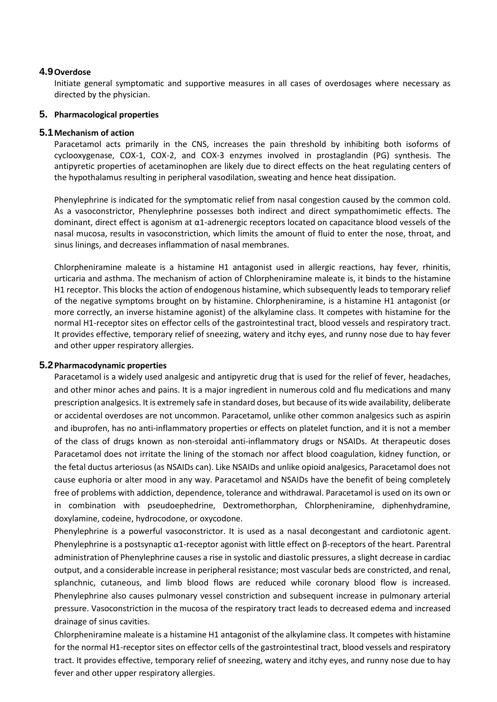### **4.9Overdose**

Initiate general symptomatic and supportive measures in all cases of overdosages where necessary as directed by the physician.

#### **5. Pharmacological properties**

#### **5.1Mechanism of action**

Paracetamol acts primarily in the CNS, increases the pain threshold by inhibiting both isoforms of cyclooxygenase, COX-1, COX-2, and COX-3 enzymes involved in prostaglandin (PG) synthesis. The antipyretic properties of acetaminophen are likely due to direct effects on the heat regulating centers of the hypothalamus resulting in peripheral vasodilation, sweating and hence heat dissipation.

Phenylephrine is indicated for the symptomatic relief from nasal congestion caused by the common cold. As a vasoconstrictor, Phenylephrine possesses both indirect and direct sympathomimetic effects. The dominant, direct effect is agonism at α1-adrenergic receptors located on capacitance blood vessels of the nasal mucosa, results in vasoconstriction, which limits the amount of fluid to enter the nose, throat, and sinus linings, and decreases inflammation of nasal membranes.

Chlorpheniramine maleate is a histamine H1 antagonist used in allergic reactions, hay fever, rhinitis, urticaria and asthma. The mechanism of action of Chlorpheniramine maleate is, it binds to the histamine H1 receptor. This blocks the action of endogenous histamine, which subsequently leads to temporary relief of the negative symptoms brought on by histamine. Chlorpheniramine, is a histamine H1 antagonist (or more correctly, an inverse histamine agonist) of the alkylamine class. It competes with histamine for the normal H1-receptor sites on effector cells of the gastrointestinal tract, blood vessels and respiratory tract. It provides effective, temporary relief of sneezing, watery and itchy eyes, and runny nose due to hay fever and other upper respiratory allergies.

#### **5.2Pharmacodynamic properties**

Paracetamol is a widely used analgesic and antipyretic drug that is used for the relief of fever, headaches, and other minor aches and pains. It is a major ingredient in numerous cold and flu medications and many prescription analgesics. It is extremely safe in standard doses, but because of its wide availability, deliberate or accidental overdoses are not uncommon. Paracetamol, unlike other common analgesics such as aspirin and ibuprofen, has no anti-inflammatory properties or effects on platelet function, and it is not a member of the class of drugs known as non-steroidal anti-inflammatory drugs or NSAIDs. At therapeutic doses Paracetamol does not irritate the lining of the stomach nor affect blood coagulation, kidney function, or the fetal ductus arteriosus (as NSAIDs can). Like NSAIDs and unlike opioid analgesics, Paracetamol does not cause euphoria or alter mood in any way. Paracetamol and NSAIDs have the benefit of being completely free of problems with addiction, dependence, tolerance and withdrawal. Paracetamol is used on its own or in combination with pseudoephedrine, Dextromethorphan, Chlorpheniramine, diphenhydramine, doxylamine, codeine, hydrocodone, or oxycodone.

Phenylephrine is a powerful vasoconstrictor. It is used as a nasal decongestant and cardiotonic agent. Phenylephrine is a postsynaptic  $\alpha$ 1-receptor agonist with little effect on  $\beta$ -receptors of the heart. Parentral administration of Phenylephrine causes a rise in systolic and diastolic pressures, a slight decrease in cardiac output, and a considerable increase in peripheral resistance; most vascular beds are constricted, and renal, splanchnic, cutaneous, and limb blood flows are reduced while coronary blood flow is increased. Phenylephrine also causes pulmonary vessel constriction and subsequent increase in pulmonary arterial pressure. Vasoconstriction in the mucosa of the respiratory tract leads to decreased edema and increased drainage of sinus cavities.

Chlorpheniramine maleate is a histamine H1 antagonist of the alkylamine class. It competes with histamine for the normal H1-receptor sites on effector cells of the gastrointestinal tract, blood vessels and respiratory tract. It provides effective, temporary relief of sneezing, watery and itchy eyes, and runny nose due to hay fever and other upper respiratory allergies.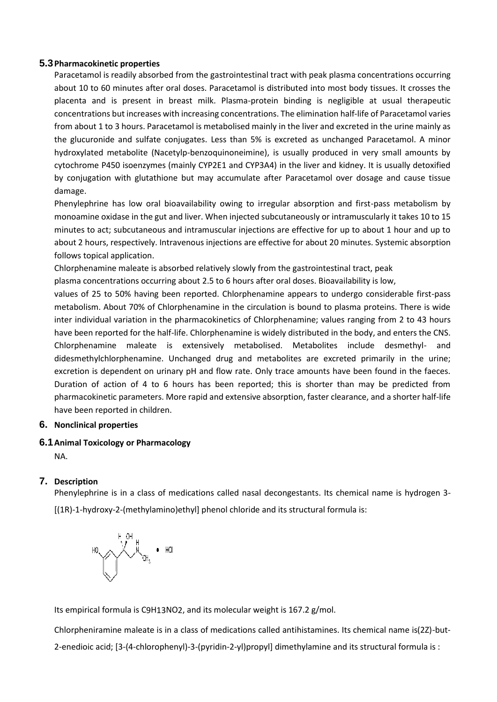### **5.3Pharmacokinetic properties**

Paracetamol is readily absorbed from the gastrointestinal tract with peak plasma concentrations occurring about 10 to 60 minutes after oral doses. Paracetamol is distributed into most body tissues. It crosses the placenta and is present in breast milk. Plasma-protein binding is negligible at usual therapeutic concentrations but increases with increasing concentrations. The elimination half-life of Paracetamol varies from about 1 to 3 hours. Paracetamol is metabolised mainly in the liver and excreted in the urine mainly as the glucuronide and sulfate conjugates. Less than 5% is excreted as unchanged Paracetamol. A minor hydroxylated metabolite (Nacetylp-benzoquinoneimine), is usually produced in very small amounts by cytochrome P450 isoenzymes (mainly CYP2E1 and CYP3A4) in the liver and kidney. It is usually detoxified by conjugation with glutathione but may accumulate after Paracetamol over dosage and cause tissue damage.

Phenylephrine has low oral bioavailability owing to irregular absorption and first-pass metabolism by monoamine oxidase in the gut and liver. When injected subcutaneously or intramuscularly it takes 10 to 15 minutes to act; subcutaneous and intramuscular injections are effective for up to about 1 hour and up to about 2 hours, respectively. Intravenous injections are effective for about 20 minutes. Systemic absorption follows topical application.

Chlorphenamine maleate is absorbed relatively slowly from the gastrointestinal tract, peak

plasma concentrations occurring about 2.5 to 6 hours after oral doses. Bioavailability is low,

values of 25 to 50% having been reported. Chlorphenamine appears to undergo considerable first-pass metabolism. About 70% of Chlorphenamine in the circulation is bound to plasma proteins. There is wide inter individual variation in the pharmacokinetics of Chlorphenamine; values ranging from 2 to 43 hours have been reported for the half-life. Chlorphenamine is widely distributed in the body, and enters the CNS. Chlorphenamine maleate is extensively metabolised. Metabolites include desmethyl- and didesmethylchlorphenamine. Unchanged drug and metabolites are excreted primarily in the urine; excretion is dependent on urinary pH and flow rate. Only trace amounts have been found in the faeces. Duration of action of 4 to 6 hours has been reported; this is shorter than may be predicted from pharmacokinetic parameters. More rapid and extensive absorption, faster clearance, and a shorter half-life have been reported in children.

## **6. Nonclinical properties**

## **6.1Animal Toxicology or Pharmacology**

NA.

# **7. Description**

Phenylephrine is in a class of medications called nasal decongestants. Its chemical name is hydrogen 3-

[(1R)-1-hydroxy-2-(methylamino)ethyl] phenol chloride and its structural formula is:



Its empirical formula [is C9H13NO2,](https://pubchem.ncbi.nlm.nih.gov/#query%3DC9H13NO2) and its molecular weight is 167.2 g/mol.

Chlorpheniramine maleate is in a class of medications called antihistamines. Its chemical name is(2Z)-but-2-enedioic acid; [3-(4-chlorophenyl)-3-(pyridin-2-yl)propyl] dimethylamine and its structural formula is :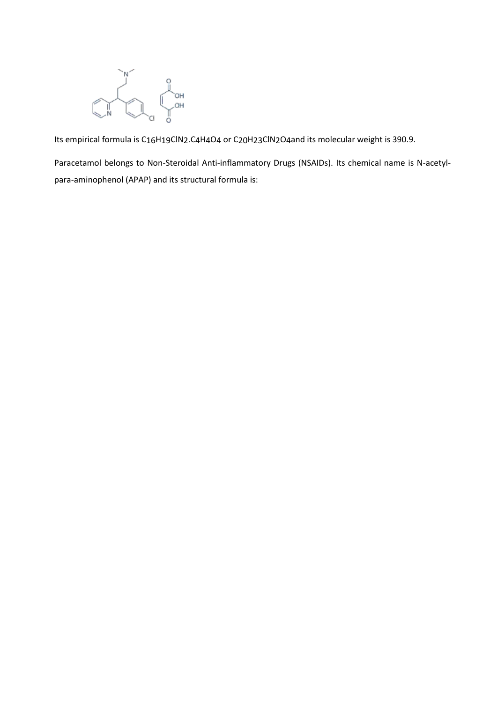

Its empirical formula is C16H19ClN2.C4H4O4 or C20H23ClN2O4and its molecular weight is 390.9.

Paracetamol belongs to Non-Steroidal Anti-inflammatory Drugs (NSAIDs). Its chemical name is N-acetylpara-aminophenol (APAP) and its structural formula is: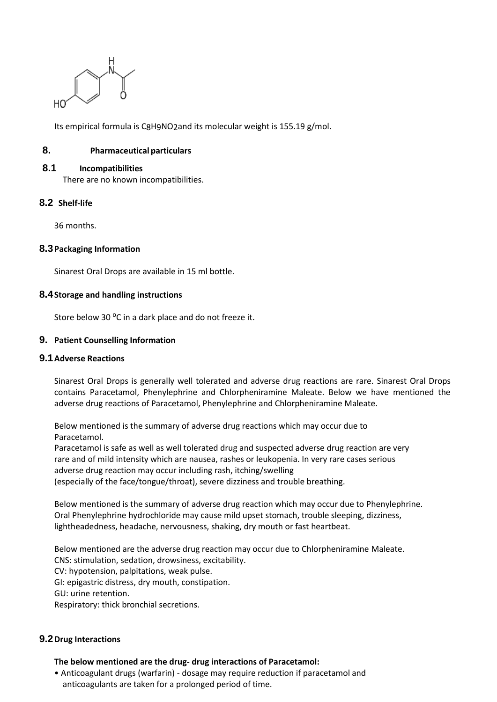

Its empirical formula is [C8H9NO2a](https://pubchem.ncbi.nlm.nih.gov/#query%3DC8H9NO2)nd its molecular weight is 155.19 g/mol.

## **8. Pharmaceutical particulars**

#### **8.1 Incompatibilities**

There are no known incompatibilities.

### **8.2 Shelf-life**

36 months.

#### **8.3Packaging Information**

Sinarest Oral Drops are available in 15 ml bottle.

#### **8.4Storage and handling instructions**

Store below 30 °C in a dark place and do not freeze it.

### **9. Patient Counselling Information**

#### **9.1Adverse Reactions**

Sinarest Oral Drops is generally well tolerated and adverse drug reactions are rare. Sinarest Oral Drops contains Paracetamol, Phenylephrine and Chlorpheniramine Maleate. Below we have mentioned the adverse drug reactions of Paracetamol, Phenylephrine and Chlorpheniramine Maleate.

Below mentioned is the summary of adverse drug reactions which may occur due to Paracetamol.

Paracetamol is safe as well as well tolerated drug and suspected adverse drug reaction are very rare and of mild intensity which are nausea, rashes or leukopenia. In very rare cases serious adverse drug reaction may occur including rash, itching/swelling (especially of the face/tongue/throat), severe dizziness and trouble breathing.

Below mentioned is the summary of adverse drug reaction which may occur due to Phenylephrine. Oral Phenylephrine hydrochloride may cause mild upset stomach, trouble sleeping, dizziness, lightheadedness, headache, nervousness, shaking, dry mouth or fast heartbeat.

Below mentioned are the adverse drug reaction may occur due to Chlorpheniramine Maleate. CNS: stimulation, sedation, drowsiness, excitability. CV: hypotension, palpitations, weak pulse. GI: epigastric distress, dry mouth, constipation. GU: urine retention. Respiratory: thick bronchial secretions.

## **9.2Drug Interactions**

#### **The below mentioned are the drug- drug interactions of Paracetamol:**

• Anticoagulant drugs (warfarin) - dosage may require reduction if paracetamol and anticoagulants are taken for a prolonged period of time.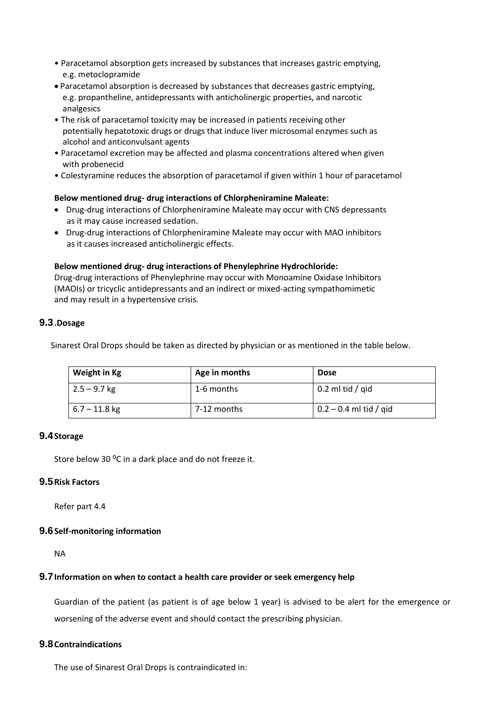- Paracetamol absorption gets increased by substances that increases gastric emptying, e.g. metoclopramide
- Paracetamol absorption is decreased by substances that decreases gastric emptying, e.g. propantheline, antidepressants with anticholinergic properties, and narcotic analgesics
- The risk of paracetamol toxicity may be increased in patients receiving other potentially hepatotoxic drugs or drugs that induce liver microsomal enzymes such as alcohol and anticonvulsant agents
- Paracetamol excretion may be affected and plasma concentrations altered when given with probenecid
- Colestyramine reduces the absorption of paracetamol if given within 1 hour of paracetamol

### **Below mentioned drug- drug interactions of Chlorpheniramine Maleate:**

- Drug-drug interactions of Chlorpheniramine Maleate may occur with CNS depressants as it may cause increased sedation.
- Drug-drug interactions of Chlorpheniramine Maleate may occur with MAO inhibitors as it causes increased anticholinergic effects.

### **Below mentioned drug- drug interactions of Phenylephrine Hydrochloride:**

Drug-drug interactions of Phenylephrine may occur with Monoamine Oxidase Inhibitors (MAOIs) or tricyclic antidepressants and an indirect or mixed-acting sympathomimetic and may result in a hypertensive crisis.

## **9.3.Dosage**

Sinarest Oral Drops should be taken as directed by physician or as mentioned in the table below.

| Weight in Kg    | Age in months | <b>Dose</b>                    |
|-----------------|---------------|--------------------------------|
| $2.5 - 9.7$ kg  | 1-6 months    | $\vert$ 0.2 ml tid / qid       |
| $6.7 - 11.8$ kg | 7-12 months   | $\vert$ 0.2 – 0.4 ml tid / gid |

## **9.4Storage**

Store below 30 °C in a dark place and do not freeze it.

## **9.5Risk Factors**

Refer part 4.4

## **9.6Self-monitoring information**

NA

## **9.7Information on when to contact a health care provider or seek emergency help**

Guardian of the patient (as patient is of age below 1 year) is advised to be alert for the emergence or worsening of the adverse event and should contact the prescribing physician.

## **9.8Contraindications**

The use of Sinarest Oral Drops is contraindicated in: